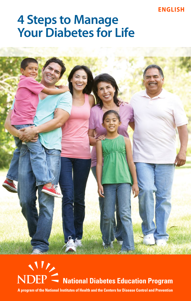#### **ENGLISH**

# **4 Steps to Manage Your Diabetes for Life**





i A program of the National Institutes of Health and the Centers for Disease Control and Prevention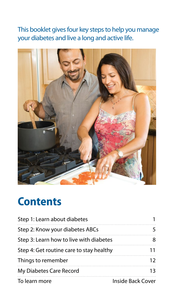This booklet gives four key steps to help you manage your diabetes and live a long and active life.



## **Contents**

| Step 1: Learn about diabetes             |                          |
|------------------------------------------|--------------------------|
| Step 2: Know your diabetes ABCs          |                          |
| Step 3: Learn how to live with diabetes  |                          |
| Step 4: Get routine care to stay healthy |                          |
| Things to remember                       |                          |
| My Diabetes Care Record                  |                          |
| To learn more                            | <b>Inside Back Cover</b> |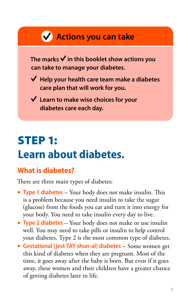



X

| XI.                 |   |
|---------------------|---|
|                     | 8 |
| XШ                  |   |
| ÌЖ                  |   |
| $\cdots$<br>W       |   |
| $\cdots$<br>М<br>bЖ | М |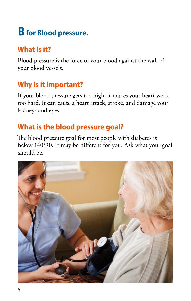## **B for Blood pressure.**

## **What is it?**

Blood pressure is the force of your blood against the wall of your blood vessels.

## **Why is it important?**

If your blood pressure gets too high, it makes your heart work too hard. It can cause a heart attack, stroke, and damage your kidneys and eyes.

## **What is the blood pressure goal?**

The blood pressure goal for most people with diabetes is below 140/90. It may be different for you. Ask what your goal should be.

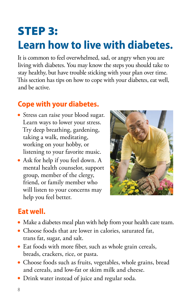# <span id="page-9-0"></span>STEP 3: **Learn how to live with diabetes.**

It is common to feel overwhelmed, sad, or angry when you are living with diabetes. You may know the steps you should take to stay healthy, but have trouble sticking with your plan over time. This section has tips on how to cope with your diabetes, eat well, and be active.

### **Cope with your diabetes.**

- Stress can raise your blood sugar. Learn ways to lower your stress. Try deep breathing, gardening, taking a walk, meditating, working on your hobby, or listening to your favorite music.
- Ask for help if you feel down. A mental health counselor, support group, member of the clergy, friend, or family member who will listen to your concerns may help you feel better.



### **Eat well.**

- Make a diabetes meal plan with help from your health care team.
- Choose foods that are lower in calories, saturated fat, trans fat, sugar, and salt.
- Eat foods with more fiber, such as whole grain cereals, breads, crackers, rice, or pasta.
- Choose foods such as fruits, vegetables, whole grains, bread and cereals, and low-fat or skim milk and cheese.
- Drink water instead of juice and regular soda.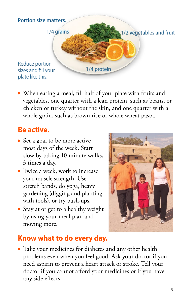

• When eating a meal, fill half of your plate with fruits and vegetables, one quarter with a lean protein, such as beans, or chicken or turkey without the skin, and one quarter with a whole grain, such as brown rice or whole wheat pasta.

### **Be active.**

- Set a goal to be more active most days of the week. Start slow by taking 10 minute walks, 3 times a day.
- Twice a week, work to increase your muscle strength. Use stretch bands, do yoga, heavy gardening (digging and planting with tools), or try push-ups.
- Stay at or get to a healthy weight by using your meal plan and moving more.



### **Know what to do every day.**

• Take your medicines for diabetes and any other health problems even when you feel good. Ask your doctor if you need aspirin to prevent a heart attack or stroke. Tell your doctor if you cannot afford your medicines or if you have any side effects.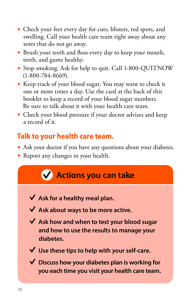- Check your feet every day for cuts, blisters, red spots, and swelling. Call your health care team right away about any sores that do not go away.
- Brush your teeth and floss every day to keep your mouth, teeth, and gums healthy.
- Stop smoking. Ask for help to quit. Call 1-800-QUITNOW (1-800-784-8669).
- Keep track of your blood sugar. You may want to check it one or more times a day. Use the card at the back of this booklet to keep a record of your blood sugar numbers. Be sure to talk about it with your health care team.
- Check your blood pressure if your doctor advises and keep a record of it.

### **Talk to your health care team.**

- Ask your doctor if you have any questions about your diabetes.
- Report any changes in your health.



- **Ask for a healthy meal plan.**
- **Ask about ways to be more active.**
- **Ask how and when to test your blood sugar and how to use the results to manage your diabetes.**
- **Use these tips to help with your self-care.**
- **Discuss how your diabetes plan is working for you each time you visit your health care team.**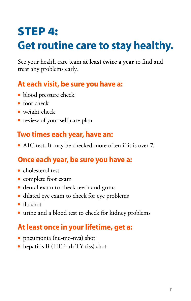# <span id="page-12-0"></span>STEP 4: **Get routine care to stay healthy.**

See your health care team **at least twice a year** to find and treat any problems early.

### **At each visit, be sure you have a:**

- blood pressure check
- $\bullet$  foot check
- weight check
- review of your self-care plan

### **Two times each year, have an:**

• A1C test. It may be checked more often if it is over 7.

### **Once each year, be sure you have a:**

- $\bullet$  cholesterol test
- complete foot exam
- dental exam to check teeth and gums
- dilated eye exam to check for eye problems
- $\bullet$  flu shot
- urine and a blood test to check for kidney problems

## **At least once in your lifetime, get a:**

- pneumonia (nu-mo-nya) shot
- hepatitis B (HEP-uh-TY-tiss) shot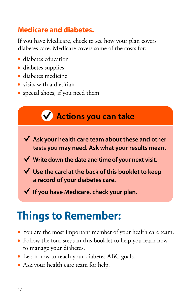### <span id="page-13-0"></span>**Medicare and diabetes.**

If you have Medicare, check to see how your plan covers diabetes care. Medicare covers some of the costs for:

- diabetes education
- diabetes supplies
- **diabetes medicine**
- $\bullet$  visits with a dietitian
- special shoes, if you need them



## **Things to Remember:**

- You are the most important member of your health care team.
- Follow the four steps in this booklet to help you learn how to manage your diabetes.
- Learn how to reach your diabetes ABC goals.
- Ask your health care team for help.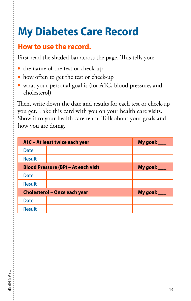# <span id="page-14-0"></span>**My Diabetes Care Record**

### **How to use the record.**

First read the shaded bar across the page. This tells you:

- the name of the test or check-up
- how often to get the test or check-up
- what your personal goal is (for A1C, blood pressure, and cholesterol)

Then, write down the date and results for each test or check-up you get. Take this card with you on your health care visits. Show it to your health care team. Talk about your goals and how you are doing.

| A1C - At least twice each year             |  |  | My goal: $\_\_$ |  |
|--------------------------------------------|--|--|-----------------|--|
| <b>Date</b>                                |  |  |                 |  |
| <b>Result</b>                              |  |  |                 |  |
| <b>Blood Pressure (BP) - At each visit</b> |  |  | My goal: $\_\_$ |  |
| <b>Date</b>                                |  |  |                 |  |
| <b>Result</b>                              |  |  |                 |  |
| <b>Cholesterol - Once each year</b>        |  |  | My goal: $\_\_$ |  |
| <b>Date</b>                                |  |  |                 |  |
| <b>Result</b>                              |  |  |                 |  |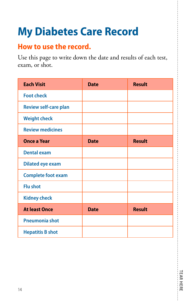# **My Diabetes Care Record**

### **How to use the record.**

Use this page to write down the date and results of each test, exam, or shot.

| <b>Each Visit</b>            | <b>Date</b> | <b>Result</b> |
|------------------------------|-------------|---------------|
| <b>Foot check</b>            |             |               |
| <b>Review self-care plan</b> |             |               |
| <b>Weight check</b>          |             |               |
| <b>Review medicines</b>      |             |               |
| <b>Once a Year</b>           | <b>Date</b> | <b>Result</b> |
| <b>Dental exam</b>           |             |               |
| <b>Dilated eye exam</b>      |             |               |
| <b>Complete foot exam</b>    |             |               |
| <b>Flu shot</b>              |             |               |
| <b>Kidney check</b>          |             |               |
| <b>At least Once</b>         | <b>Date</b> | <b>Result</b> |
| <b>Pneumonia shot</b>        |             |               |
| <b>Hepatitis B shot</b>      |             |               |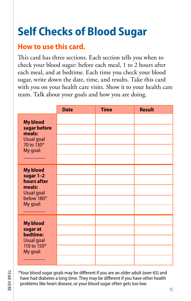# **Self Checks of Blood Sugar**

### **How to use this card.**

This card has three sections. Each section tells you when to check your blood sugar: before each meal, 1 to 2 hours after each meal, and at bedtime. Each time you check your blood sugar, write down the date, time, and results. Take this card with you on your health care visits. Show it to your health care team. Talk about your goals and how you are doing.

|                                                                                                      | <b>Date</b> | <b>Time</b> | <b>Result</b> |
|------------------------------------------------------------------------------------------------------|-------------|-------------|---------------|
| <b>My blood</b><br>sugar before<br>meals:<br><b>Usual goal</b><br>70 to 130*<br>My goal:             |             |             |               |
| <b>My blood</b><br>sugar 1-2<br>hours after<br>meals:<br><b>Usual goal</b><br>below 180*<br>My goal: |             |             |               |
| <b>My blood</b><br>sugar at<br>bedtime:<br><b>Usual goal</b><br>110 to 150*<br>My goal:              |             |             |               |

\*Your blood sugar goals may be different if you are an older adult (over 65) and have had diabetes a long time. They may be different if you have other health problems like heart disease, or your blood sugar often gets too low.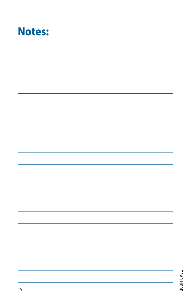

|    | TEAR HERE |
|----|-----------|
|    |           |
| 16 |           |
|    |           |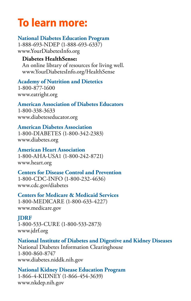# <span id="page-18-0"></span>**To learn more:**

**National Diabetes Education Program** 1-888-693-NDEP (1-888-693-6337) [www.YourDiabetesInfo.org](http://www.YourDiabetesInfo.org)

#### **Diabetes HealthSense:**

An online library of resources for living well. [www.YourDiabetesInfo.org/HealthSense](http://ndep.nih.gov/resources/diabetes-healthsense/index.aspx)

**Academy of Nutrition and Dietetics**  1-800-877-1600 [www.eatright.org](http://www.eatright.org)

**American Association of Diabetes Educators** 1-800-338-3633 [www.diabeteseducator.org](http://www.diabeteseducator.org)

#### **American Diabetes Association**

1-800-DIABETES (1-800-342-2383) [www.diabetes.org](http://www.diabetes.org)

**American Heart Association** 1-800-AHA-USA1 (1-800-242-8721) [www.heart.org](http://www.heart.org/HEARTORG/)

#### **Centers for Disease Control and Prevention** 1-800-CDC-INFO (1-800-232-4636) [www.cdc.gov/diabetes](http://www.cdc.gov/diabetes)

**Centers for Medicare & Medicaid Services** 1-800-MEDICARE (1-800-633-4227) [www.medicare.gov](http://www.medicare.gov/)

#### **JDRF**

1-800-533-CURE (1-800-533-2873) [www.jdrf.org](http://www.jdrf.org/)

#### **National Institute of Diabetes and Digestive and Kidney Diseases**

National Diabetes Information Clearinghouse 1-800-860-8747 [www.diabetes.niddk.nih.gov](http://www.diabetes.niddk.nih.gov)

**National Kidney Disease Education Program**  1-866-4-KIDNEY (1-866-454-3639) [www.nkdep.nih.gov](http://www.nkdep.nih.gov)